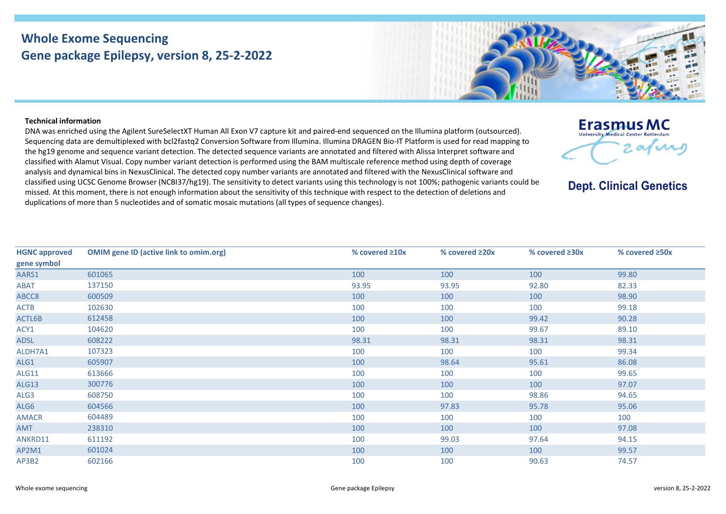## **Whole Exome Sequencing Gene package Epilepsy, version 8, 25-2-2022**



## **Technical information**

DNA was enriched using the Agilent SureSelectXT Human All Exon V7 capture kit and paired-end sequenced on the Illumina platform (outsourced). Sequencing data are demultiplexed with bcl2fastq2 Conversion Software from Illumina. Illumina DRAGEN Bio-IT Platform is used for read mapping to the hg19 genome and sequence variant detection. The detected sequence variants are annotated and filtered with Alissa Interpret software and classified with Alamut Visual. Copy number variant detection is performed using the BAM multiscale reference method using depth of coverage analysis and dynamical bins in NexusClinical. The detected copy number variants are annotated and filtered with the NexusClinical software and classified using UCSC Genome Browser (NCBI37/hg19). The sensitivity to detect variants using this technology is not 100%; pathogenic variants could be missed. At this moment, there is not enough information about the sensitivity of this technique with respect to the detection of deletions and duplications of more than 5 nucleotides and of somatic mosaic mutations (all types of sequence changes).



**Dept. Clinical Genetics** 

| <b>HGNC approved</b> | <b>OMIM gene ID (active link to omim.org)</b> | % covered $\geq 10x$ | % covered ≥20x | % covered $\geq 30x$ | % covered ≥50x |
|----------------------|-----------------------------------------------|----------------------|----------------|----------------------|----------------|
| gene symbol          |                                               |                      |                |                      |                |
| AARS1                | 601065                                        | 100                  | 100            | 100                  | 99.80          |
| ABAT                 | 137150                                        | 93.95                | 93.95          | 92.80                | 82.33          |
| ABCC8                | 600509                                        | 100                  | 100            | 100                  | 98.90          |
| <b>ACTB</b>          | 102630                                        | 100                  | 100            | 100                  | 99.18          |
| ACTL6B               | 612458                                        | 100                  | 100            | 99.42                | 90.28          |
| ACY1                 | 104620                                        | 100                  | 100            | 99.67                | 89.10          |
| <b>ADSL</b>          | 608222                                        | 98.31                | 98.31          | 98.31                | 98.31          |
| ALDH7A1              | 107323                                        | 100                  | 100            | 100                  | 99.34          |
| ALG1                 | 605907                                        | 100                  | 98.64          | 95.61                | 86.08          |
| <b>ALG11</b>         | 613666                                        | 100                  | 100            | 100                  | 99.65          |
| <b>ALG13</b>         | 300776                                        | 100                  | 100            | 100                  | 97.07          |
| ALG3                 | 608750                                        | 100                  | 100            | 98.86                | 94.65          |
| ALG6                 | 604566                                        | 100                  | 97.83          | 95.78                | 95.06          |
| <b>AMACR</b>         | 604489                                        | 100                  | 100            | 100                  | 100            |
| AMT                  | 238310                                        | 100                  | 100            | 100                  | 97.08          |
| ANKRD11              | 611192                                        | 100                  | 99.03          | 97.64                | 94.15          |
| AP2M1                | 601024                                        | 100                  | 100            | 100                  | 99.57          |
| AP3B2                | 602166                                        | 100                  | 100            | 90.63                | 74.57          |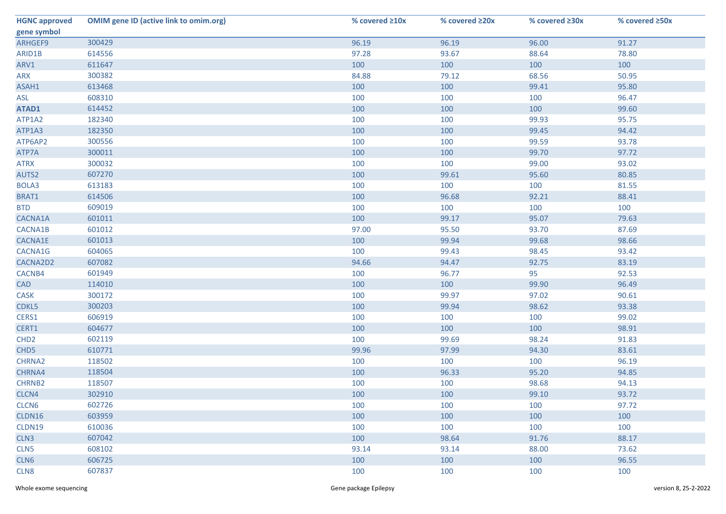| <b>HGNC approved</b> | <b>OMIM gene ID (active link to omim.org)</b> | % covered ≥10x | % covered ≥20x | % covered ≥30x | % covered ≥50x |
|----------------------|-----------------------------------------------|----------------|----------------|----------------|----------------|
| gene symbol          |                                               |                |                |                |                |
| ARHGEF9              | 300429                                        | 96.19          | 96.19          | 96.00          | 91.27          |
| ARID1B               | 614556                                        | 97.28          | 93.67          | 88.64          | 78.80          |
| ARV1                 | 611647                                        | 100            | 100            | 100            | 100            |
| ARX                  | 300382                                        | 84.88          | 79.12          | 68.56          | 50.95          |
| ASAH1                | 613468                                        | 100            | 100            | 99.41          | 95.80          |
| ASL                  | 608310                                        | 100            | 100            | 100            | 96.47          |
| ATAD1                | 614452                                        | 100            | 100            | 100            | 99.60          |
| ATP1A2               | 182340                                        | 100            | 100            | 99.93          | 95.75          |
| ATP1A3               | 182350                                        | 100            | 100            | 99.45          | 94.42          |
| ATP6AP2              | 300556                                        | 100            | 100            | 99.59          | 93.78          |
| ATP7A                | 300011                                        | 100            | 100            | 99.70          | 97.72          |
| <b>ATRX</b>          | 300032                                        | 100            | 100            | 99.00          | 93.02          |
| AUTS2                | 607270                                        | 100            | 99.61          | 95.60          | 80.85          |
| BOLA3                | 613183                                        | 100            | 100            | 100            | 81.55          |
| BRAT1                | 614506                                        | 100            | 96.68          | 92.21          | 88.41          |
| <b>BTD</b>           | 609019                                        | 100            | 100            | 100            | 100            |
| CACNA1A              | 601011                                        | 100            | 99.17          | 95.07          | 79.63          |
| CACNA1B              | 601012                                        | 97.00          | 95.50          | 93.70          | 87.69          |
| CACNA1E              | 601013                                        | 100            | 99.94          | 99.68          | 98.66          |
| CACNA1G              | 604065                                        | 100            | 99.43          | 98.45          | 93.42          |
| CACNA2D2             | 607082                                        | 94.66          | 94.47          | 92.75          | 83.19          |
| CACNB4               | 601949                                        | 100            | 96.77          | 95             | 92.53          |
| <b>CAD</b>           | 114010                                        | 100            | 100            | 99.90          | 96.49          |
| CASK                 | 300172                                        | 100            | 99.97          | 97.02          | 90.61          |
| CDKL5                | 300203                                        | 100            | 99.94          | 98.62          | 93.38          |
| CERS1                | 606919                                        | 100            | 100            | 100            | 99.02          |
| CERT1                | 604677                                        | 100            | 100            | 100            | 98.91          |
| CHD <sub>2</sub>     | 602119                                        | 100            | 99.69          | 98.24          | 91.83          |
| CHD <sub>5</sub>     | 610771                                        | 99.96          | 97.99          | 94.30          | 83.61          |
| CHRNA2               | 118502                                        | 100            | 100            | 100            | 96.19          |
| CHRNA4               | 118504                                        | 100            | 96.33          | 95.20          | 94.85          |
| <b>CHRNB2</b>        | 118507                                        | 100            | 100            | 98.68          | 94.13          |
| CLCN4                | 302910                                        | 100            | 100            | 99.10          | 93.72          |
| CLCN <sub>6</sub>    | 602726                                        | 100            | 100            | 100            | 97.72          |
| CLDN16               | 603959                                        | 100            | 100            | 100            | 100            |
| CLDN19               | 610036                                        | 100            | 100            | 100            | 100            |
| CLN <sub>3</sub>     | 607042                                        | 100            | 98.64          | 91.76          | 88.17          |
| CLN <sub>5</sub>     | 608102                                        | 93.14          | 93.14          | 88.00          | 73.62          |
| CLN6                 | 606725                                        | 100            | 100            | 100            | 96.55          |
| CLN8                 | 607837                                        | 100            | 100            | 100            | 100            |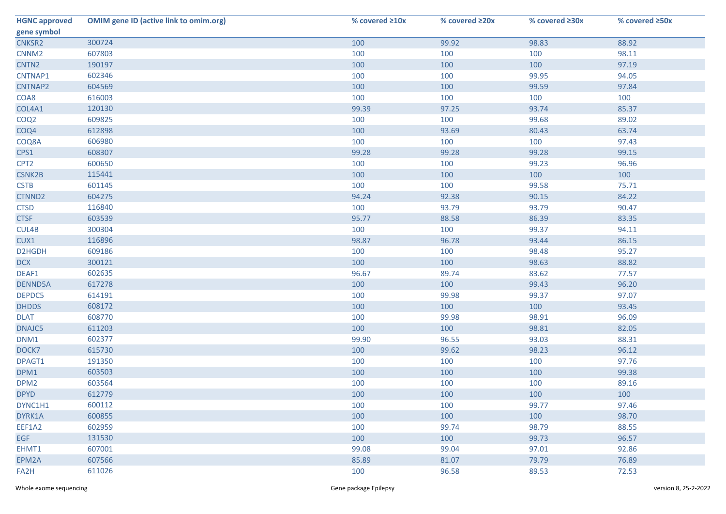| <b>HGNC approved</b> | <b>OMIM gene ID (active link to omim.org)</b> | % covered ≥10x | % covered ≥20x | % covered ≥30x | % covered ≥50x |
|----------------------|-----------------------------------------------|----------------|----------------|----------------|----------------|
| gene symbol          |                                               |                |                |                |                |
| CNKSR2               | 300724                                        | 100            | 99.92          | 98.83          | 88.92          |
| CNNM <sub>2</sub>    | 607803                                        | 100            | 100            | 100            | 98.11          |
| CNTN <sub>2</sub>    | 190197                                        | 100            | 100            | 100            | 97.19          |
| CNTNAP1              | 602346                                        | 100            | 100            | 99.95          | 94.05          |
| CNTNAP2              | 604569                                        | 100            | 100            | 99.59          | 97.84          |
| COA8                 | 616003                                        | 100            | 100            | 100            | 100            |
| COL4A1               | 120130                                        | 99.39          | 97.25          | 93.74          | 85.37          |
| COQ <sub>2</sub>     | 609825                                        | 100            | 100            | 99.68          | 89.02          |
| COQ4                 | 612898                                        | 100            | 93.69          | 80.43          | 63.74          |
| COQ8A                | 606980                                        | 100            | 100            | 100            | 97.43          |
| CPS1                 | 608307                                        | 99.28          | 99.28          | 99.28          | 99.15          |
| CPT <sub>2</sub>     | 600650                                        | 100            | 100            | 99.23          | 96.96          |
| <b>CSNK2B</b>        | 115441                                        | 100            | 100            | 100            | 100            |
| <b>CSTB</b>          | 601145                                        | 100            | 100            | 99.58          | 75.71          |
| CTNND2               | 604275                                        | 94.24          | 92.38          | 90.15          | 84.22          |
| <b>CTSD</b>          | 116840                                        | 100            | 93.79          | 93.79          | 90.47          |
| <b>CTSF</b>          | 603539                                        | 95.77          | 88.58          | 86.39          | 83.35          |
| CUL4B                | 300304                                        | 100            | 100            | 99.37          | 94.11          |
| CUX1                 | 116896                                        | 98.87          | 96.78          | 93.44          | 86.15          |
| D2HGDH               | 609186                                        | 100            | 100            | 98.48          | 95.27          |
| <b>DCX</b>           | 300121                                        | 100            | 100            | 98.63          | 88.82          |
| DEAF1                | 602635                                        | 96.67          | 89.74          | 83.62          | 77.57          |
| DENND5A              | 617278                                        | 100            | 100            | 99.43          | 96.20          |
| DEPDC5               | 614191                                        | 100            | 99.98          | 99.37          | 97.07          |
| <b>DHDDS</b>         | 608172                                        | 100            | 100            | 100            | 93.45          |
| <b>DLAT</b>          | 608770                                        | 100            | 99.98          | 98.91          | 96.09          |
| DNAJC5               | 611203                                        | 100            | 100            | 98.81          | 82.05          |
| DNM1                 | 602377                                        | 99.90          | 96.55          | 93.03          | 88.31          |
| DOCK7                | 615730                                        | 100            | 99.62          | 98.23          | 96.12          |
| DPAGT1               | 191350                                        | 100            | 100            | 100            | 97.76          |
| DPM1                 | 603503                                        | 100            | 100            | 100            | 99.38          |
| DPM <sub>2</sub>     | 603564                                        | 100            | 100            | 100            | 89.16          |
| <b>DPYD</b>          | 612779                                        | 100            | 100            | 100            | 100            |
| DYNC1H1              | 600112                                        | 100            | 100            | 99.77          | 97.46          |
| DYRK1A               | 600855                                        | 100            | 100            | 100            | 98.70          |
| EEF1A2               | 602959                                        | 100            | 99.74          | 98.79          | 88.55          |
| <b>EGF</b>           | 131530                                        | 100            | 100            | 99.73          | 96.57          |
| EHMT1                | 607001                                        | 99.08          | 99.04          | 97.01          | 92.86          |
| EPM2A                | 607566                                        | 85.89          | 81.07          | 79.79          | 76.89          |
| FA2H                 | 611026                                        | 100            | 96.58          | 89.53          | 72.53          |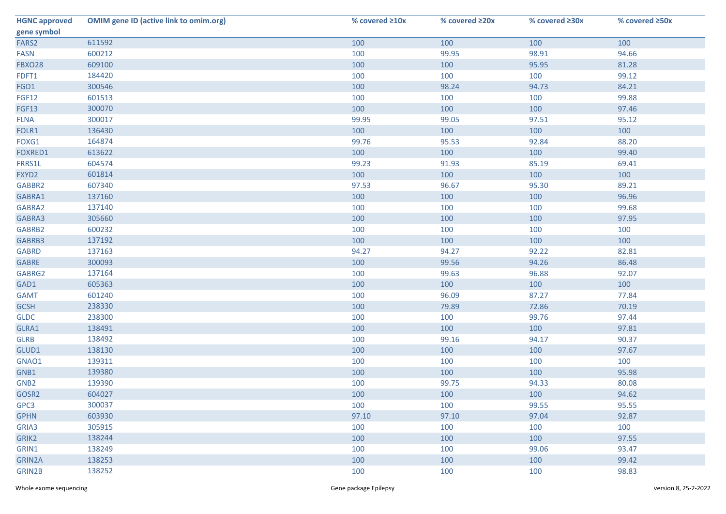| <b>HGNC approved</b> | <b>OMIM gene ID (active link to omim.org)</b> | % covered ≥10x | % covered ≥20x | % covered ≥30x | % covered ≥50x |
|----------------------|-----------------------------------------------|----------------|----------------|----------------|----------------|
| gene symbol          |                                               |                |                |                |                |
| FARS2                | 611592                                        | 100            | 100            | 100            | 100            |
| <b>FASN</b>          | 600212                                        | 100            | 99.95          | 98.91          | 94.66          |
| <b>FBXO28</b>        | 609100                                        | 100            | 100            | 95.95          | 81.28          |
| FDFT1                | 184420                                        | 100            | 100            | 100            | 99.12          |
| FGD1                 | 300546                                        | 100            | 98.24          | 94.73          | 84.21          |
| <b>FGF12</b>         | 601513                                        | 100            | 100            | 100            | 99.88          |
| <b>FGF13</b>         | 300070                                        | 100            | 100            | 100            | 97.46          |
| <b>FLNA</b>          | 300017                                        | 99.95          | 99.05          | 97.51          | 95.12          |
| FOLR1                | 136430                                        | 100            | 100            | 100            | 100            |
| FOXG1                | 164874                                        | 99.76          | 95.53          | 92.84          | 88.20          |
| FOXRED1              | 613622                                        | 100            | 100            | 100            | 99.40          |
| FRRS1L               | 604574                                        | 99.23          | 91.93          | 85.19          | 69.41          |
| FXYD2                | 601814                                        | 100            | 100            | 100            | 100            |
| GABBR2               | 607340                                        | 97.53          | 96.67          | 95.30          | 89.21          |
| GABRA1               | 137160                                        | 100            | 100            | 100            | 96.96          |
| GABRA2               | 137140                                        | 100            | 100            | 100            | 99.68          |
| GABRA3               | 305660                                        | 100            | 100            | 100            | 97.95          |
| GABRB2               | 600232                                        | 100            | 100            | 100            | 100            |
| GABRB3               | 137192                                        | 100            | 100            | 100            | 100            |
| <b>GABRD</b>         | 137163                                        | 94.27          | 94.27          | 92.22          | 82.81          |
| <b>GABRE</b>         | 300093                                        | 100            | 99.56          | 94.26          | 86.48          |
| GABRG2               | 137164                                        | 100            | 99.63          | 96.88          | 92.07          |
| GAD1                 | 605363                                        | 100            | 100            | 100            | 100            |
| <b>GAMT</b>          | 601240                                        | 100            | 96.09          | 87.27          | 77.84          |
| <b>GCSH</b>          | 238330                                        | 100            | 79.89          | 72.86          | 70.19          |
| <b>GLDC</b>          | 238300                                        | 100            | 100            | 99.76          | 97.44          |
| GLRA1                | 138491                                        | 100            | 100            | 100            | 97.81          |
| <b>GLRB</b>          | 138492                                        | 100            | 99.16          | 94.17          | 90.37          |
| GLUD1                | 138130                                        | 100            | 100            | 100            | 97.67          |
| GNAO1                | 139311                                        | 100            | 100            | 100            | 100            |
| GNB1                 | 139380                                        | 100            | 100            | 100            | 95.98          |
| GNB <sub>2</sub>     | 139390                                        | 100            | 99.75          | 94.33          | 80.08          |
| GOSR2                | 604027                                        | 100            | 100            | 100            | 94.62          |
| GPC3                 | 300037                                        | 100            | 100            | 99.55          | 95.55          |
| <b>GPHN</b>          | 603930                                        | 97.10          | 97.10          | 97.04          | 92.87          |
| GRIA3                | 305915                                        | 100            | 100            | 100            | 100            |
| GRIK2                | 138244                                        | 100            | 100            | 100            | 97.55          |
| GRIN1                | 138249                                        | 100            | 100            | 99.06          | 93.47          |
| <b>GRIN2A</b>        | 138253                                        | 100            | 100            | 100            | 99.42          |
| GRIN2B               | 138252                                        | 100            | 100            | 100            | 98.83          |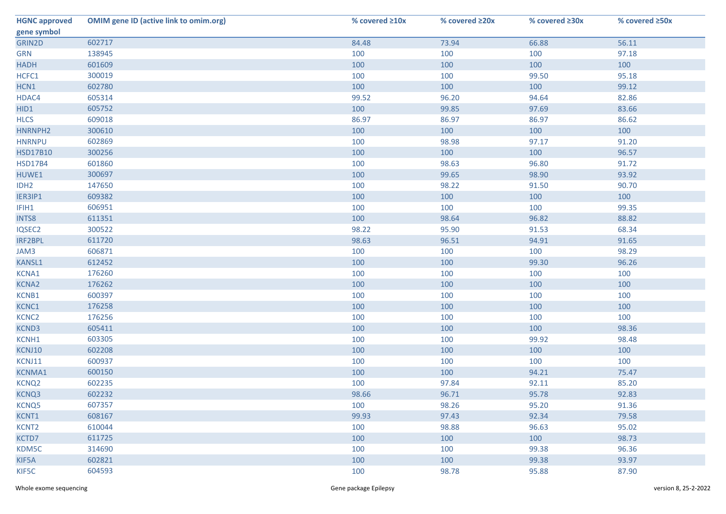| <b>HGNC approved</b> | <b>OMIM gene ID (active link to omim.org)</b> | % covered ≥10x | % covered ≥20x | % covered ≥30x | % covered ≥50x |
|----------------------|-----------------------------------------------|----------------|----------------|----------------|----------------|
| gene symbol          |                                               |                |                |                |                |
| GRIN2D               | 602717                                        | 84.48          | 73.94          | 66.88          | 56.11          |
| <b>GRN</b>           | 138945                                        | 100            | 100            | 100            | 97.18          |
| <b>HADH</b>          | 601609                                        | 100            | 100            | 100            | 100            |
| HCFC1                | 300019                                        | 100            | 100            | 99.50          | 95.18          |
| HCN1                 | 602780                                        | 100            | 100            | 100            | 99.12          |
| HDAC4                | 605314                                        | 99.52          | 96.20          | 94.64          | 82.86          |
| HID1                 | 605752                                        | 100            | 99.85          | 97.69          | 83.66          |
| <b>HLCS</b>          | 609018                                        | 86.97          | 86.97          | 86.97          | 86.62          |
| HNRNPH2              | 300610                                        | 100            | 100            | 100            | 100            |
| <b>HNRNPU</b>        | 602869                                        | 100            | 98.98          | 97.17          | 91.20          |
| <b>HSD17B10</b>      | 300256                                        | 100            | 100            | 100            | 96.57          |
| <b>HSD17B4</b>       | 601860                                        | 100            | 98.63          | 96.80          | 91.72          |
| HUWE1                | 300697                                        | 100            | 99.65          | 98.90          | 93.92          |
| IDH <sub>2</sub>     | 147650                                        | 100            | 98.22          | 91.50          | 90.70          |
| IER3IP1              | 609382                                        | 100            | 100            | 100            | 100            |
| IFIH1                | 606951                                        | 100            | 100            | 100            | 99.35          |
| INTS8                | 611351                                        | 100            | 98.64          | 96.82          | 88.82          |
| IQSEC2               | 300522                                        | 98.22          | 95.90          | 91.53          | 68.34          |
| <b>IRF2BPL</b>       | 611720                                        | 98.63          | 96.51          | 94.91          | 91.65          |
| JAM3                 | 606871                                        | 100            | 100            | 100            | 98.29          |
| <b>KANSL1</b>        | 612452                                        | 100            | 100            | 99.30          | 96.26          |
| KCNA1                | 176260                                        | 100            | 100            | 100            | 100            |
| <b>KCNA2</b>         | 176262                                        | 100            | 100            | 100            | 100            |
| KCNB1                | 600397                                        | 100            | 100            | 100            | 100            |
| KCNC1                | 176258                                        | 100            | 100            | 100            | 100            |
| KCNC <sub>2</sub>    | 176256                                        | 100            | 100            | 100            | 100            |
| KCND3                | 605411                                        | 100            | 100            | 100            | 98.36          |
| KCNH1                | 603305                                        | 100            | 100            | 99.92          | 98.48          |
| KCNJ10               | 602208                                        | 100            | 100            | 100            | 100            |
| KCNJ11               | 600937                                        | 100            | 100            | 100            | 100            |
| <b>KCNMA1</b>        | 600150                                        | 100            | 100            | 94.21          | 75.47          |
| KCNQ <sub>2</sub>    | 602235                                        | 100            | 97.84          | 92.11          | 85.20          |
| KCNQ3                | 602232                                        | 98.66          | 96.71          | 95.78          | 92.83          |
| KCNQ5                | 607357                                        | 100            | 98.26          | 95.20          | 91.36          |
| KCNT1                | 608167                                        | 99.93          | 97.43          | 92.34          | 79.58          |
| KCNT <sub>2</sub>    | 610044                                        | 100            | 98.88          | 96.63          | 95.02          |
| KCTD7                | 611725                                        | 100            | 100            | 100            | 98.73          |
| KDM5C                | 314690                                        | 100            | 100            | 99.38          | 96.36          |
| KIF5A                | 602821                                        | 100            | 100            | 99.38          | 93.97          |
| KIF5C                | 604593                                        | 100            | 98.78          | 95.88          | 87.90          |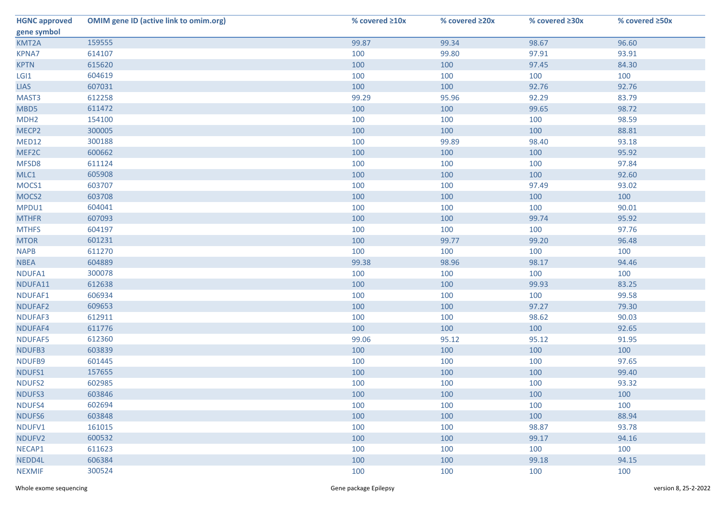| <b>HGNC approved</b> | <b>OMIM gene ID (active link to omim.org)</b> | % covered ≥10x | % covered ≥20x | % covered ≥30x | % covered ≥50x |
|----------------------|-----------------------------------------------|----------------|----------------|----------------|----------------|
| gene symbol          |                                               |                |                |                |                |
| KMT2A                | 159555                                        | 99.87          | 99.34          | 98.67          | 96.60          |
| <b>KPNA7</b>         | 614107                                        | 100            | 99.80          | 97.91          | 93.91          |
| <b>KPTN</b>          | 615620                                        | 100            | 100            | 97.45          | 84.30          |
| LGI1                 | 604619                                        | 100            | 100            | 100            | 100            |
| <b>LIAS</b>          | 607031                                        | 100            | 100            | 92.76          | 92.76          |
| MAST3                | 612258                                        | 99.29          | 95.96          | 92.29          | 83.79          |
| MBD5                 | 611472                                        | 100            | 100            | 99.65          | 98.72          |
| MDH <sub>2</sub>     | 154100                                        | 100            | 100            | 100            | 98.59          |
| MECP2                | 300005                                        | 100            | 100            | 100            | 88.81          |
| MED12                | 300188                                        | 100            | 99.89          | 98.40          | 93.18          |
| MEF2C                | 600662                                        | 100            | 100            | 100            | 95.92          |
| MFSD8                | 611124                                        | 100            | 100            | 100            | 97.84          |
| MLC1                 | 605908                                        | 100            | 100            | 100            | 92.60          |
| MOCS1                | 603707                                        | 100            | 100            | 97.49          | 93.02          |
| MOCS2                | 603708                                        | 100            | 100            | 100            | 100            |
| MPDU1                | 604041                                        | 100            | 100            | 100            | 90.01          |
| <b>MTHFR</b>         | 607093                                        | 100            | 100            | 99.74          | 95.92          |
| <b>MTHFS</b>         | 604197                                        | 100            | 100            | 100            | 97.76          |
| <b>MTOR</b>          | 601231                                        | 100            | 99.77          | 99.20          | 96.48          |
| <b>NAPB</b>          | 611270                                        | 100            | 100            | 100            | 100            |
| <b>NBEA</b>          | 604889                                        | 99.38          | 98.96          | 98.17          | 94.46          |
| NDUFA1               | 300078                                        | 100            | 100            | 100            | 100            |
| NDUFA11              | 612638                                        | 100            | 100            | 99.93          | 83.25          |
| NDUFAF1              | 606934                                        | 100            | 100            | 100            | 99.58          |
| NDUFAF2              | 609653                                        | 100            | 100            | 97.27          | 79.30          |
| NDUFAF3              | 612911                                        | 100            | 100            | 98.62          | 90.03          |
| NDUFAF4              | 611776                                        | 100            | 100            | 100            | 92.65          |
| NDUFAF5              | 612360                                        | 99.06          | 95.12          | 95.12          | 91.95          |
| NDUFB3               | 603839                                        | 100            | 100            | 100            | 100            |
| NDUFB9               | 601445                                        | 100            | 100            | 100            | 97.65          |
| NDUFS1               | 157655                                        | 100            | 100            | 100            | 99.40          |
| NDUFS2               | 602985                                        | 100            | 100            | 100            | 93.32          |
| NDUFS3               | 603846                                        | 100            | 100            | 100            | 100            |
| NDUFS4               | 602694                                        | 100            | 100            | 100            | 100            |
| NDUFS6               | 603848                                        | 100            | 100            | 100            | 88.94          |
| NDUFV1               | 161015                                        | 100            | 100            | 98.87          | 93.78          |
| NDUFV2               | 600532                                        | 100            | 100            | 99.17          | 94.16          |
| NECAP1               | 611623                                        | 100            | 100            | 100            | 100            |
| NEDD4L               | 606384                                        | 100            | 100            | 99.18          | 94.15          |
| <b>NEXMIF</b>        | 300524                                        | 100            | 100            | 100            | 100            |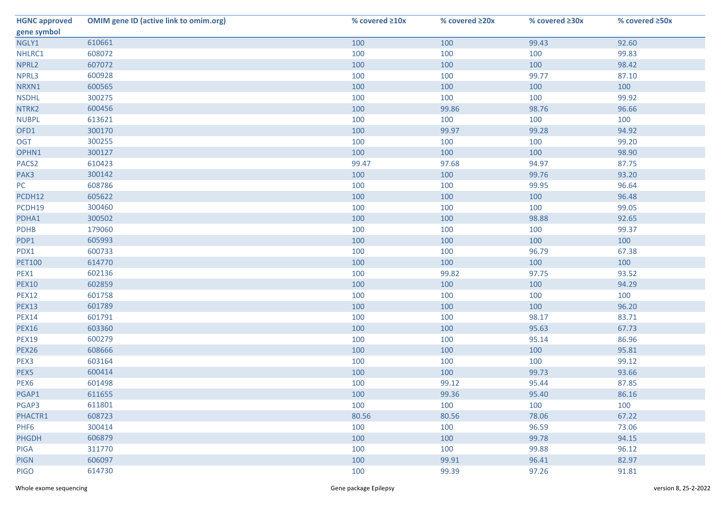| <b>HGNC approved</b> | <b>OMIM gene ID (active link to omim.org)</b> | % covered ≥10x | % covered ≥20x | % covered ≥30x | % covered ≥50x |
|----------------------|-----------------------------------------------|----------------|----------------|----------------|----------------|
| gene symbol          |                                               |                |                |                |                |
| NGLY1                | 610661                                        | 100            | 100            | 99.43          | 92.60          |
| NHLRC1               | 608072                                        | 100            | 100            | 100            | 99.83          |
| NPRL2                | 607072                                        | 100            | 100            | 100            | 98.42          |
| NPRL3                | 600928                                        | 100            | 100            | 99.77          | 87.10          |
| NRXN1                | 600565                                        | 100            | 100            | 100            | 100            |
| <b>NSDHL</b>         | 300275                                        | 100            | 100            | 100            | 99.92          |
| NTRK2                | 600456                                        | 100            | 99.86          | 98.76          | 96.66          |
| <b>NUBPL</b>         | 613621                                        | 100            | 100            | 100            | 100            |
| OFD1                 | 300170                                        | 100            | 99.97          | 99.28          | 94.92          |
| <b>OGT</b>           | 300255                                        | 100            | 100            | 100            | 99.20          |
| OPHN1                | 300127                                        | 100            | 100            | 100            | 98.90          |
| PACS <sub>2</sub>    | 610423                                        | 99.47          | 97.68          | 94.97          | 87.75          |
| PAK3                 | 300142                                        | 100            | 100            | 99.76          | 93.20          |
| PC                   | 608786                                        | 100            | 100            | 99.95          | 96.64          |
| PCDH12               | 605622                                        | 100            | 100            | 100            | 96.48          |
| PCDH19               | 300460                                        | 100            | 100            | 100            | 99.05          |
| PDHA1                | 300502                                        | 100            | 100            | 98.88          | 92.65          |
| PDHB                 | 179060                                        | 100            | 100            | 100            | 99.37          |
| PDP1                 | 605993                                        | 100            | 100            | 100            | 100            |
| PDX1                 | 600733                                        | 100            | 100            | 96.79          | 67.38          |
| <b>PET100</b>        | 614770                                        | 100            | 100            | 100            | 100            |
| PEX1                 | 602136                                        | 100            | 99.82          | 97.75          | 93.52          |
| <b>PEX10</b>         | 602859                                        | 100            | 100            | 100            | 94.29          |
| <b>PEX12</b>         | 601758                                        | 100            | 100            | 100            | 100            |
| <b>PEX13</b>         | 601789                                        | 100            | 100            | 100            | 96.20          |
| <b>PEX14</b>         | 601791                                        | 100            | 100            | 98.17          | 83.71          |
| <b>PEX16</b>         | 603360                                        | 100            | 100            | 95.63          | 67.73          |
| <b>PEX19</b>         | 600279                                        | 100            | 100            | 95.14          | 86.96          |
| <b>PEX26</b>         | 608666                                        | 100            | 100            | 100            | 95.81          |
| PEX3                 | 603164                                        | 100            | 100            | 100            | 99.12          |
| PEX5                 | 600414                                        | 100            | 100            | 99.73          | 93.66          |
| PEX6                 | 601498                                        | 100            | 99.12          | 95.44          | 87.85          |
| PGAP1                | 611655                                        | 100            | 99.36          | 95.40          | 86.16          |
| PGAP3                | 611801                                        | 100            | 100            | 100            | 100            |
| PHACTR1              | 608723                                        | 80.56          | 80.56          | 78.06          | 67.22          |
| PHF <sub>6</sub>     | 300414                                        | 100            | 100            | 96.59          | 73.06          |
| <b>PHGDH</b>         | 606879                                        | 100            | 100            | 99.78          | 94.15          |
| <b>PIGA</b>          | 311770                                        | 100            | 100            | 99.88          | 96.12          |
| <b>PIGN</b>          | 606097                                        | 100            | 99.91          | 96.41          | 82.97          |
| <b>PIGO</b>          | 614730                                        | 100            | 99.39          | 97.26          | 91.81          |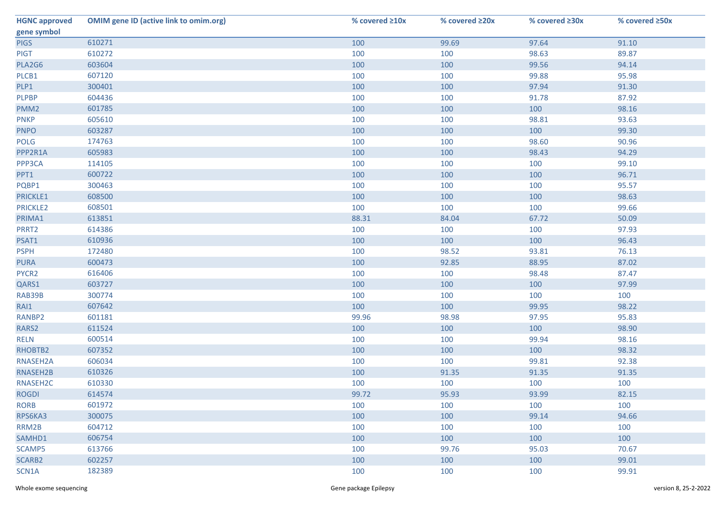| <b>HGNC approved</b> | <b>OMIM gene ID (active link to omim.org)</b> | % covered ≥10x | % covered ≥20x | % covered ≥30x | % covered ≥50x |
|----------------------|-----------------------------------------------|----------------|----------------|----------------|----------------|
| gene symbol          |                                               |                |                |                |                |
| <b>PIGS</b>          | 610271                                        | 100            | 99.69          | 97.64          | 91.10          |
| <b>PIGT</b>          | 610272                                        | 100            | 100            | 98.63          | 89.87          |
| PLA2G6               | 603604                                        | 100            | 100            | 99.56          | 94.14          |
| PLCB1                | 607120                                        | 100            | 100            | 99.88          | 95.98          |
| PLP1                 | 300401                                        | 100            | 100            | 97.94          | 91.30          |
| <b>PLPBP</b>         | 604436                                        | 100            | 100            | 91.78          | 87.92          |
| PMM <sub>2</sub>     | 601785                                        | 100            | 100            | 100            | 98.16          |
| <b>PNKP</b>          | 605610                                        | 100            | 100            | 98.81          | 93.63          |
| <b>PNPO</b>          | 603287                                        | 100            | 100            | 100            | 99.30          |
| POLG                 | 174763                                        | 100            | 100            | 98.60          | 90.96          |
| PPP2R1A              | 605983                                        | 100            | 100            | 98.43          | 94.29          |
| PPP3CA               | 114105                                        | 100            | 100            | 100            | 99.10          |
| PPT1                 | 600722                                        | 100            | 100            | 100            | 96.71          |
| PQBP1                | 300463                                        | 100            | 100            | 100            | 95.57          |
| PRICKLE1             | 608500                                        | 100            | 100            | 100            | 98.63          |
| PRICKLE2             | 608501                                        | 100            | 100            | 100            | 99.66          |
| PRIMA1               | 613851                                        | 88.31          | 84.04          | 67.72          | 50.09          |
| PRRT2                | 614386                                        | 100            | 100            | 100            | 97.93          |
| PSAT1                | 610936                                        | 100            | 100            | 100            | 96.43          |
| <b>PSPH</b>          | 172480                                        | 100            | 98.52          | 93.81          | 76.13          |
| <b>PURA</b>          | 600473                                        | 100            | 92.85          | 88.95          | 87.02          |
| PYCR2                | 616406                                        | 100            | 100            | 98.48          | 87.47          |
| QARS1                | 603727                                        | 100            | 100            | 100            | 97.99          |
| RAB39B               | 300774                                        | 100            | 100            | 100            | 100            |
| RAI1                 | 607642                                        | 100            | 100            | 99.95          | 98.22          |
| RANBP2               | 601181                                        | 99.96          | 98.98          | 97.95          | 95.83          |
| RARS2                | 611524                                        | 100            | 100            | 100            | 98.90          |
| <b>RELN</b>          | 600514                                        | 100            | 100            | 99.94          | 98.16          |
| RHOBTB2              | 607352                                        | 100            | 100            | 100            | 98.32          |
| RNASEH2A             | 606034                                        | 100            | 100            | 99.81          | 92.38          |
| RNASEH2B             | 610326                                        | 100            | 91.35          | 91.35          | 91.35          |
| RNASEH2C             | 610330                                        | 100            | 100            | 100            | 100            |
| <b>ROGDI</b>         | 614574                                        | 99.72          | 95.93          | 93.99          | 82.15          |
| <b>RORB</b>          | 601972                                        | 100            | 100            | 100            | 100            |
| RPS6KA3              | 300075                                        | 100            | 100            | 99.14          | 94.66          |
| RRM2B                | 604712                                        | 100            | 100            | 100            | 100            |
| SAMHD1               | 606754                                        | 100            | 100            | 100            | 100            |
| SCAMP5               | 613766                                        | 100            | 99.76          | 95.03          | 70.67          |
| SCARB2               | 602257                                        | 100            | 100            | 100            | 99.01          |
| SCN1A                | 182389                                        | 100            | 100            | 100            | 99.91          |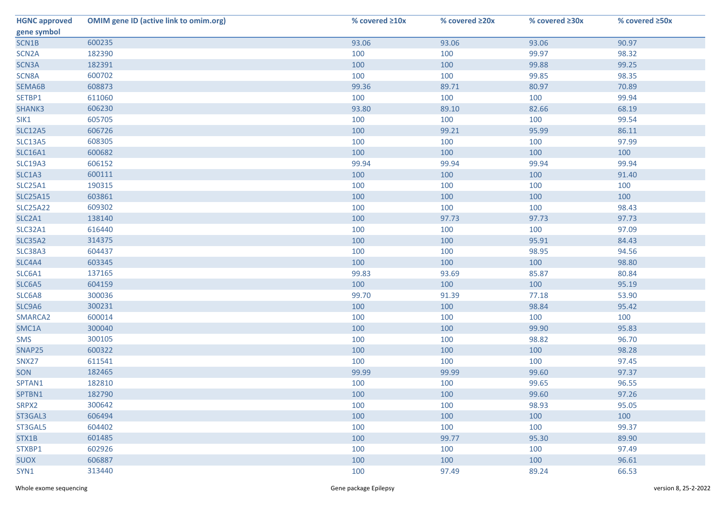| <b>HGNC approved</b> | <b>OMIM gene ID (active link to omim.org)</b> | % covered ≥10x | % covered ≥20x | % covered ≥30x | % covered ≥50x |
|----------------------|-----------------------------------------------|----------------|----------------|----------------|----------------|
| gene symbol          |                                               |                |                |                |                |
| SCN1B                | 600235                                        | 93.06          | 93.06          | 93.06          | 90.97          |
| SCN <sub>2</sub> A   | 182390                                        | 100            | 100            | 99.97          | 98.32          |
| SCN3A                | 182391                                        | 100            | 100            | 99.88          | 99.25          |
| SCN8A                | 600702                                        | 100            | 100            | 99.85          | 98.35          |
| SEMA6B               | 608873                                        | 99.36          | 89.71          | 80.97          | 70.89          |
| SETBP1               | 611060                                        | 100            | 100            | 100            | 99.94          |
| SHANK3               | 606230                                        | 93.80          | 89.10          | 82.66          | 68.19          |
| SIK1                 | 605705                                        | 100            | 100            | 100            | 99.54          |
| <b>SLC12A5</b>       | 606726                                        | 100            | 99.21          | 95.99          | 86.11          |
| SLC13A5              | 608305                                        | 100            | 100            | 100            | 97.99          |
| <b>SLC16A1</b>       | 600682                                        | 100            | 100            | 100            | 100            |
| <b>SLC19A3</b>       | 606152                                        | 99.94          | 99.94          | 99.94          | 99.94          |
| SLC1A3               | 600111                                        | 100            | 100            | 100            | 91.40          |
| SLC25A1              | 190315                                        | 100            | 100            | 100            | 100            |
| <b>SLC25A15</b>      | 603861                                        | 100            | 100            | 100            | 100            |
| <b>SLC25A22</b>      | 609302                                        | 100            | 100            | 100            | 98.43          |
| SLC2A1               | 138140                                        | 100            | 97.73          | 97.73          | 97.73          |
| <b>SLC32A1</b>       | 616440                                        | 100            | 100            | 100            | 97.09          |
| <b>SLC35A2</b>       | 314375                                        | 100            | 100            | 95.91          | 84.43          |
| SLC38A3              | 604437                                        | 100            | 100            | 98.95          | 94.56          |
| SLC4A4               | 603345                                        | 100            | 100            | 100            | 98.80          |
| SLC6A1               | 137165                                        | 99.83          | 93.69          | 85.87          | 80.84          |
| SLC6A5               | 604159                                        | 100            | 100            | 100            | 95.19          |
| SLC6A8               | 300036                                        | 99.70          | 91.39          | 77.18          | 53.90          |
| SLC9A6               | 300231                                        | 100            | 100            | 98.84          | 95.42          |
| SMARCA2              | 600014                                        | 100            | 100            | 100            | 100            |
| SMC1A                | 300040                                        | 100            | 100            | 99.90          | 95.83          |
| SMS                  | 300105                                        | 100            | 100            | 98.82          | 96.70          |
| SNAP25               | 600322                                        | 100            | 100            | 100            | 98.28          |
| SNX27                | 611541                                        | 100            | 100            | 100            | 97.45          |
| SON                  | 182465                                        | 99.99          | 99.99          | 99.60          | 97.37          |
| SPTAN1               | 182810                                        | 100            | 100            | 99.65          | 96.55          |
| SPTBN1               | 182790                                        | 100            | 100            | 99.60          | 97.26          |
| SRPX2                | 300642                                        | 100            | 100            | 98.93          | 95.05          |
| ST3GAL3              | 606494                                        | 100            | 100            | 100            | 100            |
| ST3GAL5              | 604402                                        | 100            | 100            | 100            | 99.37          |
| STX1B                | 601485                                        | 100            | 99.77          | 95.30          | 89.90          |
| STXBP1               | 602926                                        | 100            | 100            | 100            | 97.49          |
| <b>SUOX</b>          | 606887                                        | 100            | 100            | 100            | 96.61          |
| SYN1                 | 313440                                        | 100            | 97.49          | 89.24          | 66.53          |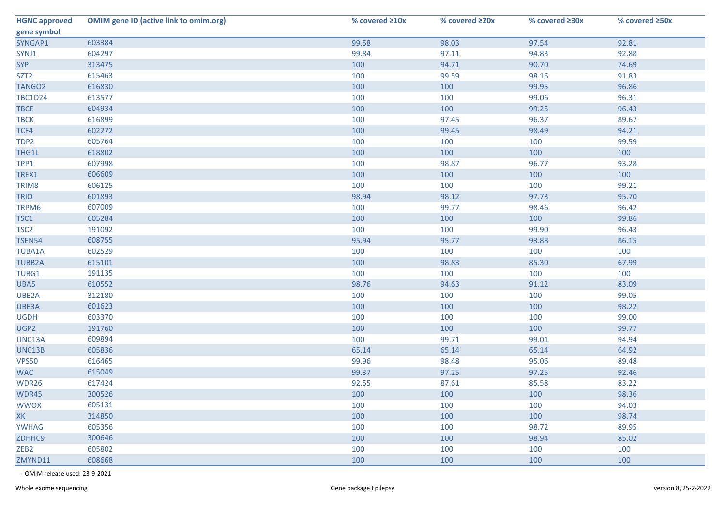| <b>HGNC approved</b> | <b>OMIM gene ID (active link to omim.org)</b> | % covered ≥10x | % covered ≥20x | % covered $\geq 30x$ | % covered ≥50x |
|----------------------|-----------------------------------------------|----------------|----------------|----------------------|----------------|
| gene symbol          |                                               |                |                |                      |                |
| SYNGAP1              | 603384                                        | 99.58          | 98.03          | 97.54                | 92.81          |
| SYNJ1                | 604297                                        | 99.84          | 97.11          | 94.83                | 92.88          |
| <b>SYP</b>           | 313475                                        | 100            | 94.71          | 90.70                | 74.69          |
| SZT <sub>2</sub>     | 615463                                        | 100            | 99.59          | 98.16                | 91.83          |
| TANGO <sub>2</sub>   | 616830                                        | 100            | 100            | 99.95                | 96.86          |
| <b>TBC1D24</b>       | 613577                                        | 100            | 100            | 99.06                | 96.31          |
| <b>TBCE</b>          | 604934                                        | 100            | 100            | 99.25                | 96.43          |
| <b>TBCK</b>          | 616899                                        | 100            | 97.45          | 96.37                | 89.67          |
| TCF4                 | 602272                                        | 100            | 99.45          | 98.49                | 94.21          |
| TDP <sub>2</sub>     | 605764                                        | 100            | 100            | 100                  | 99.59          |
| THG1L                | 618802                                        | 100            | 100            | 100                  | 100            |
| TPP1                 | 607998                                        | 100            | 98.87          | 96.77                | 93.28          |
| TREX1                | 606609                                        | 100            | 100            | 100                  | 100            |
| TRIM8                | 606125                                        | 100            | 100            | 100                  | 99.21          |
| <b>TRIO</b>          | 601893                                        | 98.94          | 98.12          | 97.73                | 95.70          |
| TRPM6                | 607009                                        | 100            | 99.77          | 98.46                | 96.42          |
| TSC1                 | 605284                                        | 100            | 100            | 100                  | 99.86          |
| TSC <sub>2</sub>     | 191092                                        | 100            | 100            | 99.90                | 96.43          |
| <b>TSEN54</b>        | 608755                                        | 95.94          | 95.77          | 93.88                | 86.15          |
| TUBA1A               | 602529                                        | 100            | 100            | 100                  | 100            |
| <b>TUBB2A</b>        | 615101                                        | 100            | 98.83          | 85.30                | 67.99          |
| TUBG1                | 191135                                        | 100            | 100            | 100                  | 100            |
| UBA5                 | 610552                                        | 98.76          | 94.63          | 91.12                | 83.09          |
| UBE2A                | 312180                                        | 100            | 100            | 100                  | 99.05          |
| UBE3A                | 601623                                        | 100            | 100            | 100                  | 98.22          |
| <b>UGDH</b>          | 603370                                        | 100            | 100            | 100                  | 99.00          |
| UGP2                 | 191760                                        | 100            | 100            | 100                  | 99.77          |
| UNC13A               | 609894                                        | 100            | 99.71          | 99.01                | 94.94          |
| UNC13B               | 605836                                        | 65.14          | 65.14          | 65.14                | 64.92          |
| <b>VPS50</b>         | 616465                                        | 99.96          | 98.48          | 95.06                | 89.48          |
| <b>WAC</b>           | 615049                                        | 99.37          | 97.25          | 97.25                | 92.46          |
| WDR26                | 617424                                        | 92.55          | 87.61          | 85.58                | 83.22          |
| WDR45                | 300526                                        | 100            | 100            | 100                  | 98.36          |
| <b>WWOX</b>          | 605131                                        | 100            | 100            | 100                  | 94.03          |
| <b>XK</b>            | 314850                                        | 100            | 100            | 100                  | 98.74          |
| <b>YWHAG</b>         | 605356                                        | 100            | 100            | 98.72                | 89.95          |
| ZDHHC9               | 300646                                        | 100            | 100            | 98.94                | 85.02          |
| ZEB <sub>2</sub>     | 605802                                        | 100            | 100            | 100                  | 100            |
| ZMYND11              | 608668                                        | 100            | 100            | 100                  | 100            |

- OMIM release used: 23-9-2021